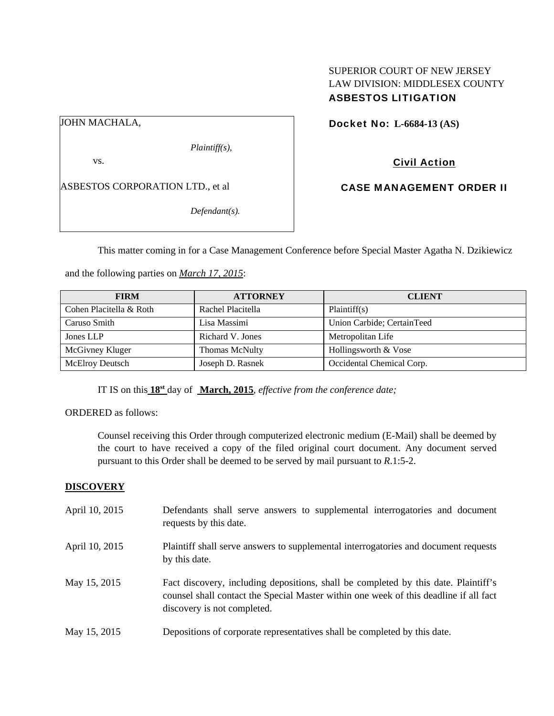# SUPERIOR COURT OF NEW JERSEY LAW DIVISION: MIDDLESEX COUNTY ASBESTOS LITIGATION

JOHN MACHALA,

*Plaintiff(s),* 

vs.

ASBESTOS CORPORATION LTD., et al

*Defendant(s).* 

Docket No: **L-6684-13 (AS)** 

Civil Action

CASE MANAGEMENT ORDER II

This matter coming in for a Case Management Conference before Special Master Agatha N. Dzikiewicz

and the following parties on *March 17, 2015*:

| <b>FIRM</b>             | <b>ATTORNEY</b>       | <b>CLIENT</b>              |
|-------------------------|-----------------------|----------------------------|
| Cohen Placitella & Roth | Rachel Placitella     | Plaintiff(s)               |
| Caruso Smith            | Lisa Massimi          | Union Carbide; CertainTeed |
| Jones LLP               | Richard V. Jones      | Metropolitan Life          |
| McGivney Kluger         | <b>Thomas McNulty</b> | Hollingsworth & Vose       |
| <b>McElroy Deutsch</b>  | Joseph D. Rasnek      | Occidental Chemical Corp.  |

IT IS on this **18st** day of **March, 2015**, *effective from the conference date;*

ORDERED as follows:

Counsel receiving this Order through computerized electronic medium (E-Mail) shall be deemed by the court to have received a copy of the filed original court document. Any document served pursuant to this Order shall be deemed to be served by mail pursuant to *R*.1:5-2.

# **DISCOVERY**

| April 10, 2015 | Defendants shall serve answers to supplemental interrogatories and document<br>requests by this date.                                                                                                       |
|----------------|-------------------------------------------------------------------------------------------------------------------------------------------------------------------------------------------------------------|
| April 10, 2015 | Plaintiff shall serve answers to supplemental interrogatories and document requests<br>by this date.                                                                                                        |
| May 15, 2015   | Fact discovery, including depositions, shall be completed by this date. Plaintiff's<br>counsel shall contact the Special Master within one week of this deadline if all fact<br>discovery is not completed. |
| May 15, 2015   | Depositions of corporate representatives shall be completed by this date.                                                                                                                                   |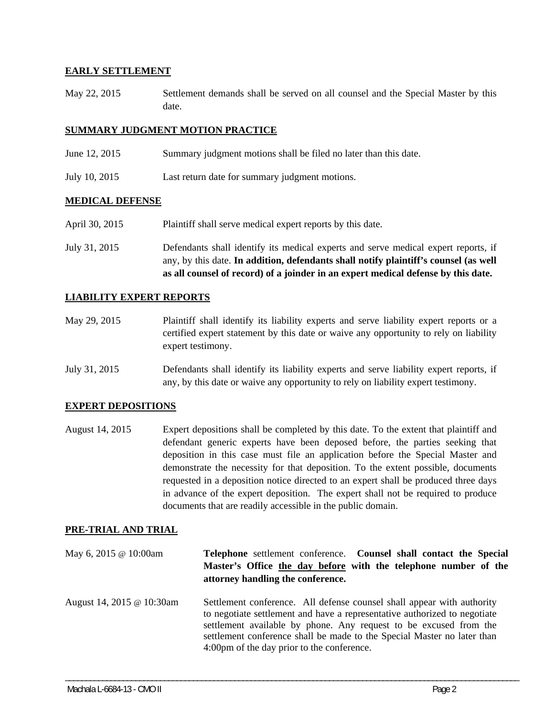## **EARLY SETTLEMENT**

May 22, 2015 Settlement demands shall be served on all counsel and the Special Master by this date.

## **SUMMARY JUDGMENT MOTION PRACTICE**

- June 12, 2015 Summary judgment motions shall be filed no later than this date.
- July 10, 2015 Last return date for summary judgment motions.

## **MEDICAL DEFENSE**

- April 30, 2015 Plaintiff shall serve medical expert reports by this date.
- July 31, 2015 Defendants shall identify its medical experts and serve medical expert reports, if any, by this date. **In addition, defendants shall notify plaintiff's counsel (as well as all counsel of record) of a joinder in an expert medical defense by this date.**

#### **LIABILITY EXPERT REPORTS**

- May 29, 2015 Plaintiff shall identify its liability experts and serve liability expert reports or a certified expert statement by this date or waive any opportunity to rely on liability expert testimony.
- July 31, 2015 Defendants shall identify its liability experts and serve liability expert reports, if any, by this date or waive any opportunity to rely on liability expert testimony.

#### **EXPERT DEPOSITIONS**

August 14, 2015 Expert depositions shall be completed by this date. To the extent that plaintiff and defendant generic experts have been deposed before, the parties seeking that deposition in this case must file an application before the Special Master and demonstrate the necessity for that deposition. To the extent possible, documents requested in a deposition notice directed to an expert shall be produced three days in advance of the expert deposition. The expert shall not be required to produce documents that are readily accessible in the public domain.

#### **PRE-TRIAL AND TRIAL**

| May 6, 2015 @ 10:00am     | Telephone settlement conference. Counsel shall contact the Special<br>Master's Office the day before with the telephone number of the<br>attorney handling the conference.                                                                                                                                                                        |  |
|---------------------------|---------------------------------------------------------------------------------------------------------------------------------------------------------------------------------------------------------------------------------------------------------------------------------------------------------------------------------------------------|--|
| August 14, 2015 @ 10:30am | Settlement conference. All defense counsel shall appear with authority<br>to negotiate settlement and have a representative authorized to negotiate<br>settlement available by phone. Any request to be excused from the<br>settlement conference shall be made to the Special Master no later than<br>4:00pm of the day prior to the conference. |  |

\_\_\_\_\_\_\_\_\_\_\_\_\_\_\_\_\_\_\_\_\_\_\_\_\_\_\_\_\_\_\_\_\_\_\_\_\_\_\_\_\_\_\_\_\_\_\_\_\_\_\_\_\_\_\_\_\_\_\_\_\_\_\_\_\_\_\_\_\_\_\_\_\_\_\_\_\_\_\_\_\_\_\_\_\_\_\_\_\_\_\_\_\_\_\_\_\_\_\_\_\_\_\_\_\_\_\_\_\_\_